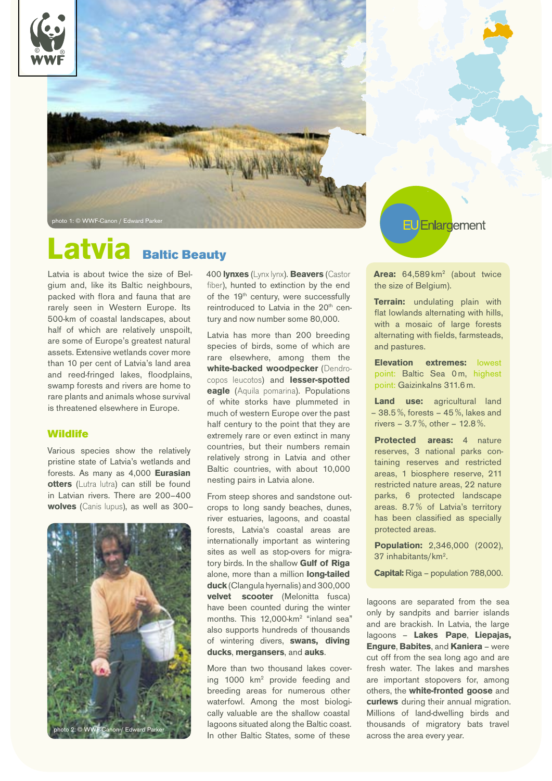



# Latvia Baltic Beauty

Latvia is about twice the size of Belgium and, like its Baltic neighbours, packed with flora and fauna that are rarely seen in Western Europe. Its 500-km of coastal landscapes, about half of which are relatively unspoilt, are some of Europe's greatest natural assets. Extensive wetlands cover more than 10 per cent of Latvia's land area and reed-fringed lakes, floodplains, swamp forests and rivers are home to rare plants and animals whose survival is threatened elsewhere in Europe.

### **Wildlife**

Various species show the relatively pristine state of Latvia's wetlands and forests. As many as 4,000 **Eurasian otters** (Lutra lutra) can still be found in Latvian rivers. There are 200–400 **wolves** (Canis lupus), as well as 300–



400 **lynxes** (Lynx lynx). **Beavers** (Castor fiber), hunted to extinction by the end of the 19<sup>th</sup> century, were successfully reintroduced to Latvia in the 20<sup>th</sup> century and now number some 80,000.

Latvia has more than 200 breeding species of birds, some of which are rare elsewhere, among them the **white-backed woodpecker** (Dendrocopos leucotos) and **lesser-spotted eagle** (Aquila pomarina). Populations of white storks have plummeted in much of western Europe over the past half century to the point that they are extremely rare or even extinct in many countries, but their numbers remain relatively strong in Latvia and other Baltic countries, with about 10,000 nesting pairs in Latvia alone.

From steep shores and sandstone outcrops to long sandy beaches, dunes, river estuaries, lagoons, and coastal forests, Latvia's coastal areas are internationally important as wintering sites as well as stop-overs for migratory birds. In the shallow **Gulf of Riga** alone, more than a million **long-tailed duck** (Clangula hyernalis) and 300,000 **velvet scooter** (Melonitta fusca) have been counted during the winter months. This 12,000-km<sup>2</sup> "inland sea" also supports hundreds of thousands of wintering divers, **swans, diving ducks**, **mergansers**, and **auks**.

More than two thousand lakes covering 1000 km<sup>2</sup> provide feeding and breeding areas for numerous other waterfowl. Among the most biologically valuable are the shallow coastal lagoons situated along the Baltic coast. Enlargement

Area: 64,589 km<sup>2</sup> (about twice the size of Belgium).

**Terrain:** undulating plain with flat lowlands alternating with hills, with a mosaic of large forests alternating with fields, farmsteads, and pastures.

**Elevation extremes:** lowest point: Baltic Sea 0m, highest point: Gaizinkalns 311.6 m.

**Land use:** agricultural land  $-38.5\%$ , forests  $-45\%$ , lakes and rivers – 3.7 %, other – 12.8 %.

**Protected areas:** 4 nature reserves, 3 national parks containing reserves and restricted areas, 1 biosphere reserve, 211 restricted nature areas, 22 nature parks, 6 protected landscape areas. 8.7 % of Latvia's territory has been classified as specially protected areas.

**Population:** 2,346,000 (2002), 37 inhabitants/km2 .

**Capital:** Riga – population 788,000.

lagoons are separated from the sea only by sandpits and barrier islands and are brackish. In Latvia, the large lagoons – **Lakes Pape**, **Liepajas, Engure**, **Babites**, and **Kaniera** – were cut off from the sea long ago and are fresh water. The lakes and marshes are important stopovers for, among others, the **white-fronted goose** and **curlews** during their annual migration. Millions of land-dwelling birds and thousands of migratory bats travel